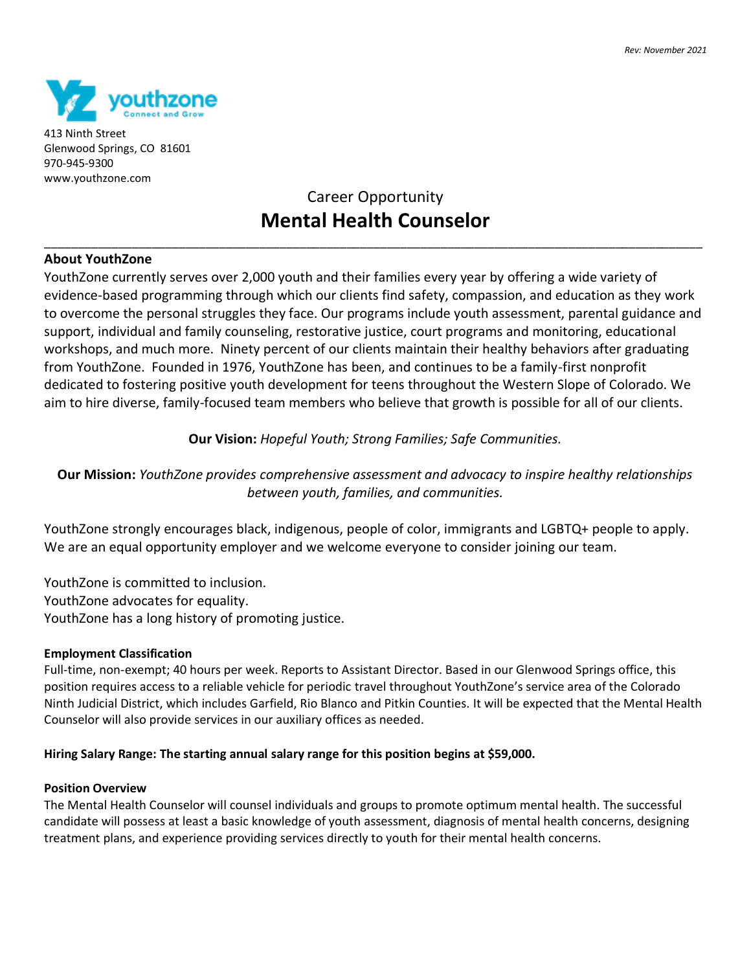

413 Ninth Street Glenwood Springs, CO 81601 970-945-9300 www.youthzone.com

# Career Opportunity **Mental Health Counselor**

\_\_\_\_\_\_\_\_\_\_\_\_\_\_\_\_\_\_\_\_\_\_\_\_\_\_\_\_\_\_\_\_\_\_\_\_\_\_\_\_\_\_\_\_\_\_\_\_\_\_\_\_\_\_\_\_\_\_\_\_\_\_\_\_\_\_\_\_\_\_\_\_\_\_\_\_\_\_\_\_\_\_\_\_\_\_\_\_\_\_\_\_\_\_\_\_\_\_

## **About YouthZone**

YouthZone currently serves over 2,000 youth and their families every year by offering a wide variety of evidence-based programming through which our clients find safety, compassion, and education as they work to overcome the personal struggles they face. Our programs include youth assessment, parental guidance and support, individual and family counseling, restorative justice, court programs and monitoring, educational workshops, and much more. Ninety percent of our clients maintain their healthy behaviors after graduating from YouthZone. Founded in 1976, YouthZone has been, and continues to be a family-first nonprofit dedicated to fostering positive youth development for teens throughout the Western Slope of Colorado. We aim to hire diverse, family-focused team members who believe that growth is possible for all of our clients.

# **Our Vision:** *Hopeful Youth; Strong Families; Safe Communities.*

**Our Mission:** *YouthZone provides comprehensive assessment and advocacy to inspire healthy relationships between youth, families, and communities.*

YouthZone strongly encourages black, indigenous, people of color, immigrants and LGBTQ+ people to apply. We are an equal opportunity employer and we welcome everyone to consider joining our team.

YouthZone is committed to inclusion. YouthZone advocates for equality. YouthZone has a long history of promoting justice.

#### **Employment Classification**

Full-time, non-exempt; 40 hours per week. Reports to Assistant Director. Based in our Glenwood Springs office, this position requires access to a reliable vehicle for periodic travel throughout YouthZone's service area of the Colorado Ninth Judicial District, which includes Garfield, Rio Blanco and Pitkin Counties. It will be expected that the Mental Health Counselor will also provide services in our auxiliary offices as needed.

#### **Hiring Salary Range: The starting annual salary range for this position begins at \$59,000.**

#### **Position Overview**

The Mental Health Counselor will counsel individuals and groups to promote optimum mental health. The successful candidate will possess at least a basic knowledge of youth assessment, diagnosis of mental health concerns, designing treatment plans, and experience providing services directly to youth for their mental health concerns.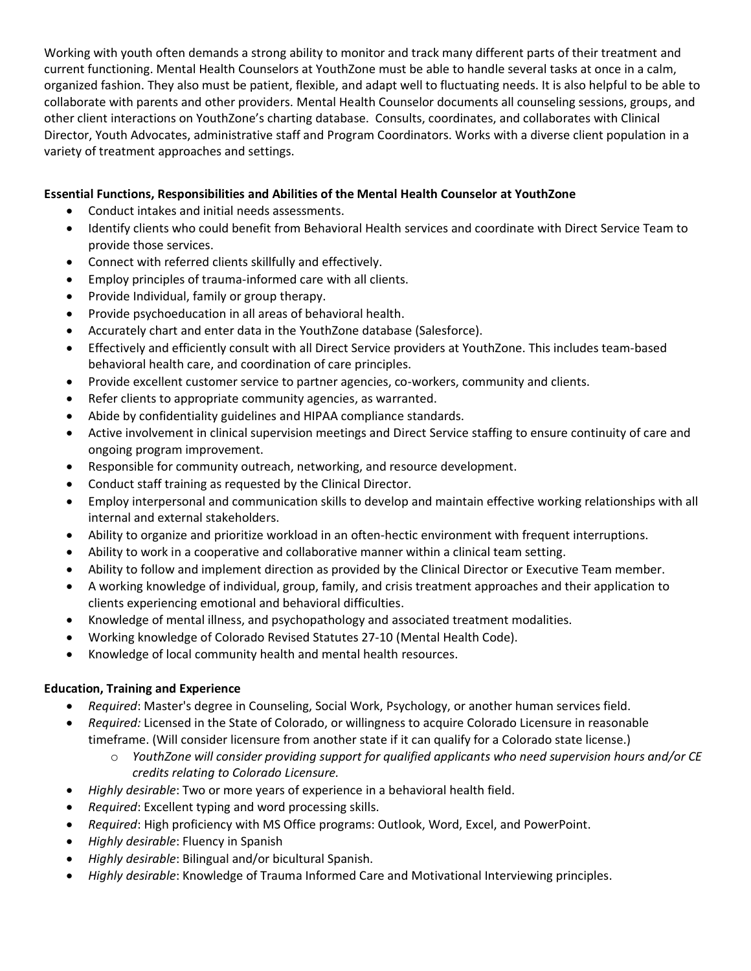Working with youth often demands a strong ability to monitor and track many different parts of their treatment and current functioning. Mental Health Counselors at YouthZone must be able to handle several tasks at once in a calm, organized fashion. They also must be patient, flexible, and adapt well to fluctuating needs. It is also helpful to be able to collaborate with parents and other providers. Mental Health Counselor documents all counseling sessions, groups, and other client interactions on YouthZone's charting database. Consults, coordinates, and collaborates with Clinical Director, Youth Advocates, administrative staff and Program Coordinators. Works with a diverse client population in a variety of treatment approaches and settings.

# **Essential Functions, Responsibilities and Abilities of the Mental Health Counselor at YouthZone**

- Conduct intakes and initial needs assessments.
- Identify clients who could benefit from Behavioral Health services and coordinate with Direct Service Team to provide those services.
- Connect with referred clients skillfully and effectively.
- Employ principles of trauma-informed care with all clients.
- Provide Individual, family or group therapy.
- Provide psychoeducation in all areas of behavioral health.
- Accurately chart and enter data in the YouthZone database (Salesforce).
- Effectively and efficiently consult with all Direct Service providers at YouthZone. This includes team-based behavioral health care, and coordination of care principles.
- Provide excellent customer service to partner agencies, co-workers, community and clients.
- Refer clients to appropriate community agencies, as warranted.
- Abide by confidentiality guidelines and HIPAA compliance standards.
- Active involvement in clinical supervision meetings and Direct Service staffing to ensure continuity of care and ongoing program improvement.
- Responsible for community outreach, networking, and resource development.
- Conduct staff training as requested by the Clinical Director.
- Employ interpersonal and communication skills to develop and maintain effective working relationships with all internal and external stakeholders.
- Ability to organize and prioritize workload in an often-hectic environment with frequent interruptions.
- Ability to work in a cooperative and collaborative manner within a clinical team setting.
- Ability to follow and implement direction as provided by the Clinical Director or Executive Team member.
- A working knowledge of individual, group, family, and crisis treatment approaches and their application to clients experiencing emotional and behavioral difficulties.
- Knowledge of mental illness, and psychopathology and associated treatment modalities.
- Working knowledge of Colorado Revised Statutes 27-10 (Mental Health Code).
- Knowledge of local community health and mental health resources.

#### **Education, Training and Experience**

- *Required*: Master's degree in Counseling, Social Work, Psychology, or another human services field.
- *Required:* Licensed in the State of Colorado, or willingness to acquire Colorado Licensure in reasonable timeframe. (Will consider licensure from another state if it can qualify for a Colorado state license.)
	- o *YouthZone will consider providing support for qualified applicants who need supervision hours and/or CE credits relating to Colorado Licensure.*
- *Highly desirable*: Two or more years of experience in a behavioral health field.
- *Required*: Excellent typing and word processing skills.
- *Required*: High proficiency with MS Office programs: Outlook, Word, Excel, and PowerPoint.
- *Highly desirable*: Fluency in Spanish
- *Highly desirable*: Bilingual and/or bicultural Spanish.
- *Highly desirable*: Knowledge of Trauma Informed Care and Motivational Interviewing principles.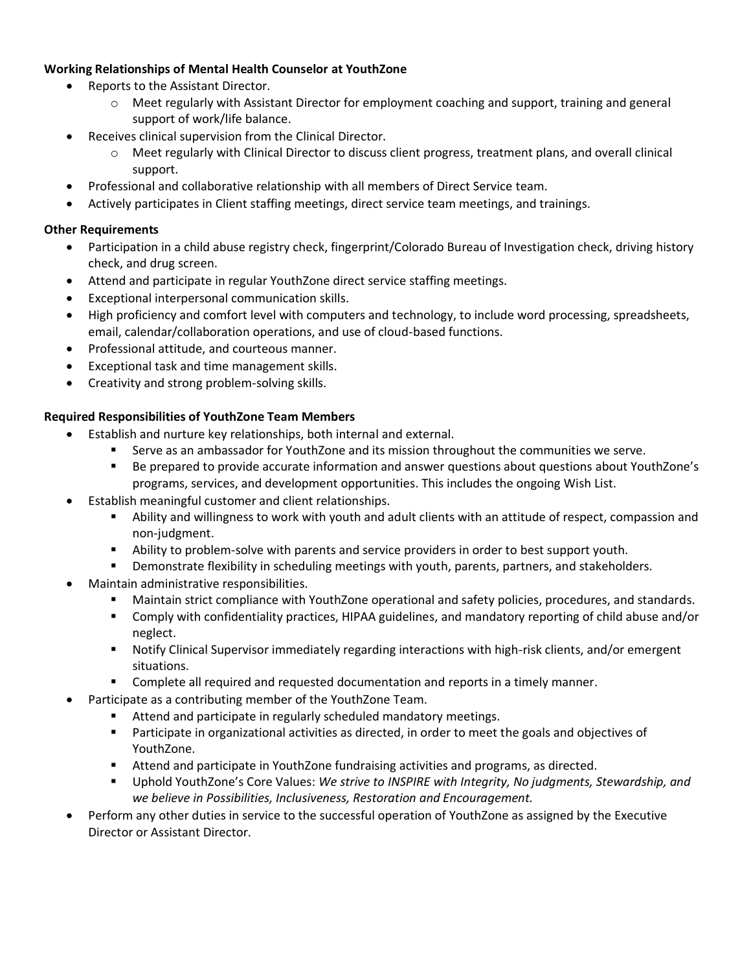# **Working Relationships of Mental Health Counselor at YouthZone**

- Reports to the Assistant Director.
	- o Meet regularly with Assistant Director for employment coaching and support, training and general support of work/life balance.
	- Receives clinical supervision from the Clinical Director.
		- o Meet regularly with Clinical Director to discuss client progress, treatment plans, and overall clinical support.
- Professional and collaborative relationship with all members of Direct Service team.
- Actively participates in Client staffing meetings, direct service team meetings, and trainings.

#### **Other Requirements**

- Participation in a child abuse registry check, fingerprint/Colorado Bureau of Investigation check, driving history check, and drug screen.
- Attend and participate in regular YouthZone direct service staffing meetings.
- Exceptional interpersonal communication skills.
- High proficiency and comfort level with computers and technology, to include word processing, spreadsheets, email, calendar/collaboration operations, and use of cloud-based functions.
- Professional attitude, and courteous manner.
- Exceptional task and time management skills.
- Creativity and strong problem-solving skills.

#### **Required Responsibilities of YouthZone Team Members**

- Establish and nurture key relationships, both internal and external.
	- Serve as an ambassador for YouthZone and its mission throughout the communities we serve.
	- Be prepared to provide accurate information and answer questions about questions about YouthZone's programs, services, and development opportunities. This includes the ongoing Wish List.
- Establish meaningful customer and client relationships.
	- Ability and willingness to work with youth and adult clients with an attitude of respect, compassion and non-judgment.
	- **E** Ability to problem-solve with parents and service providers in order to best support youth.
	- **•** Demonstrate flexibility in scheduling meetings with youth, parents, partners, and stakeholders.
- Maintain administrative responsibilities.
	- Maintain strict compliance with YouthZone operational and safety policies, procedures, and standards.
	- Comply with confidentiality practices, HIPAA guidelines, and mandatory reporting of child abuse and/or neglect.
	- Notify Clinical Supervisor immediately regarding interactions with high-risk clients, and/or emergent situations.
	- Complete all required and requested documentation and reports in a timely manner.
- Participate as a contributing member of the YouthZone Team.
	- Attend and participate in regularly scheduled mandatory meetings.
	- Participate in organizational activities as directed, in order to meet the goals and objectives of YouthZone.
	- Attend and participate in YouthZone fundraising activities and programs, as directed.
	- Uphold YouthZone's Core Values: *We strive to INSPIRE with Integrity, No judgments, Stewardship, and we believe in Possibilities, Inclusiveness, Restoration and Encouragement.*
- Perform any other duties in service to the successful operation of YouthZone as assigned by the Executive Director or Assistant Director.